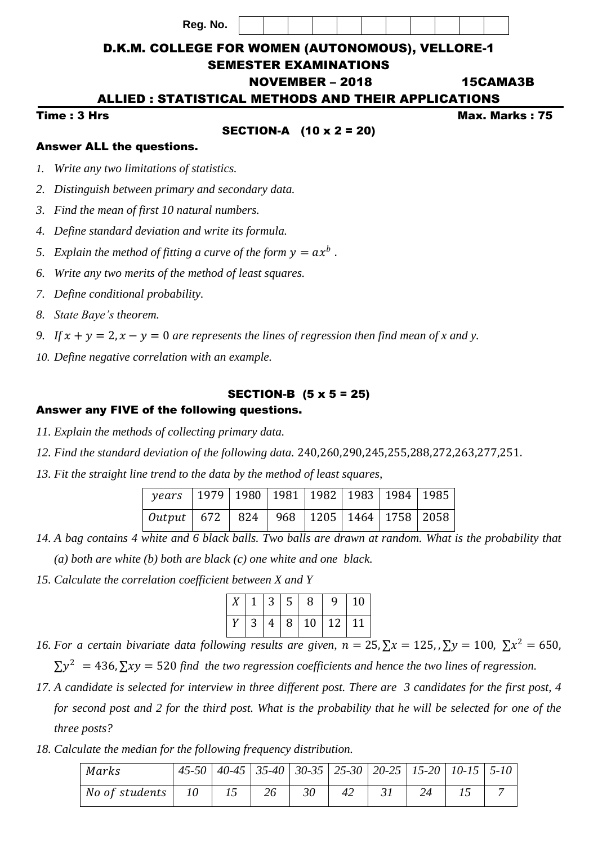**Reg. No.**



# D.K.M. COLLEGE FOR WOMEN (AUTONOMOUS), VELLORE-1

### SEMESTER EXAMINATIONS

# NOVEMBER – 2018 15CAMA3B

#### ALLIED : STATISTICAL METHODS AND THEIR APPLICATIONS

### SECTION-A (10 x 2 = 20)

Time : 3 Hrs Max. Marks : 75

### Answer ALL the questions.

*1. Write any two limitations of statistics.*

- *2. Distinguish between primary and secondary data.*
- *3. Find the mean of first 10 natural numbers.*
- *4. Define standard deviation and write its formula.*
- 5. Explain the method of fitting a curve of the form  $y = a x^b$ .
- *6. Write any two merits of the method of least squares.*
- *7. Define conditional probability.*
- *8. State Baye's theorem.*
- *9.* If  $x + y = 2$ ,  $x y = 0$  are represents the lines of regression then find mean of x and y.
- *10. Define negative correlation with an example.*

# SECTION-B (5 x 5 = 25)

# Answer any FIVE of the following questions.

- *11. Explain the methods of collecting primary data.*
- *12. Find the standard deviation of the following data.* 240,260,290,245,255,288,272,263,277,251.
- *13. Fit the straight line trend to the data by the method of least squares,*

| years   1979   1980   1981   1982   1983   1984   1985      |  |  |  |  |
|-------------------------------------------------------------|--|--|--|--|
| <i>Output</i>   672   824   968   1205   1464   1758   2058 |  |  |  |  |

*14. A bag contains 4 white and 6 black balls. Two balls are drawn at random. What is the probability that (a) both are white (b) both are black (c) one white and one black.*

*15. Calculate the correlation coefficient between X and Y* 

|  |  |  | $X \mid 1 \mid 3 \mid 5 \mid 8 \mid 9 \mid 10 \mid$ |
|--|--|--|-----------------------------------------------------|
|  |  |  | $Y$ 3 4 8 10 12 11                                  |

*16. For a certain bivariate data following results are given, n* = 25,  $\sum x = 125$ , ,  $\sum y = 100$ ,  $\sum x^2 = 650$ ,

 $\sum y^2$  = 436,  $\sum xy$  = 520 find the two regression coefficients and hence the two lines of regression.

- *17. A candidate is selected for interview in three different post. There are 3 candidates for the first post, 4 for second post and 2 for the third post. What is the probability that he will be selected for one of the three posts?*
- *18. Calculate the median for the following frequency distribution.*

| Marks                        | $\mid$ 45-50 $\mid$ 40-45 $\mid$ 35-40 $\mid$ 30-35 $\mid$ 25-30 $\mid$ 20-25 $\mid$ 15-20 $\mid$ 10-15 $\mid$ 5-10 |    |    |    |    |    |  |
|------------------------------|---------------------------------------------------------------------------------------------------------------------|----|----|----|----|----|--|
| No of students   $10$   $15$ |                                                                                                                     | 26 | 30 | 42 | 31 | 24 |  |